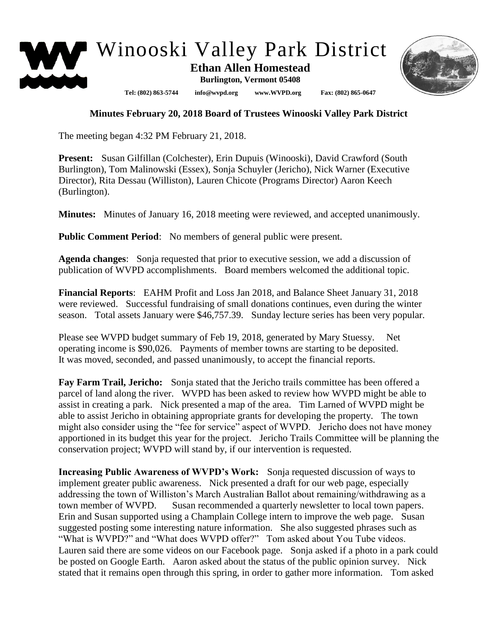

## **Minutes February 20, 2018 Board of Trustees Winooski Valley Park District**

The meeting began 4:32 PM February 21, 2018.

**Present:** Susan Gilfillan (Colchester), Erin Dupuis (Winooski), David Crawford (South Burlington), Tom Malinowski (Essex), Sonja Schuyler (Jericho), Nick Warner (Executive Director), Rita Dessau (Williston), Lauren Chicote (Programs Director) Aaron Keech (Burlington).

**Minutes:** Minutes of January 16, 2018 meeting were reviewed, and accepted unanimously.

**Public Comment Period:** No members of general public were present.

**Agenda changes**: Sonja requested that prior to executive session, we add a discussion of publication of WVPD accomplishments. Board members welcomed the additional topic.

**Financial Reports**: EAHM Profit and Loss Jan 2018, and Balance Sheet January 31, 2018 were reviewed. Successful fundraising of small donations continues, even during the winter season. Total assets January were \$46,757.39. Sunday lecture series has been very popular.

Please see WVPD budget summary of Feb 19, 2018, generated by Mary Stuessy. Net operating income is \$90,026. Payments of member towns are starting to be deposited. It was moved, seconded, and passed unanimously, to accept the financial reports.

**Fay Farm Trail, Jericho:** Sonja stated that the Jericho trails committee has been offered a parcel of land along the river. WVPD has been asked to review how WVPD might be able to assist in creating a park. Nick presented a map of the area. Tim Larned of WVPD might be able to assist Jericho in obtaining appropriate grants for developing the property. The town might also consider using the "fee for service" aspect of WVPD. Jericho does not have money apportioned in its budget this year for the project. Jericho Trails Committee will be planning the conservation project; WVPD will stand by, if our intervention is requested.

**Increasing Public Awareness of WVPD's Work:** Sonja requested discussion of ways to implement greater public awareness. Nick presented a draft for our web page, especially addressing the town of Williston's March Australian Ballot about remaining/withdrawing as a town member of WVPD. Susan recommended a quarterly newsletter to local town papers. Erin and Susan supported using a Champlain College intern to improve the web page. Susan suggested posting some interesting nature information. She also suggested phrases such as "What is WVPD?" and "What does WVPD offer?" Tom asked about You Tube videos. Lauren said there are some videos on our Facebook page. Sonja asked if a photo in a park could be posted on Google Earth. Aaron asked about the status of the public opinion survey. Nick stated that it remains open through this spring, in order to gather more information. Tom asked